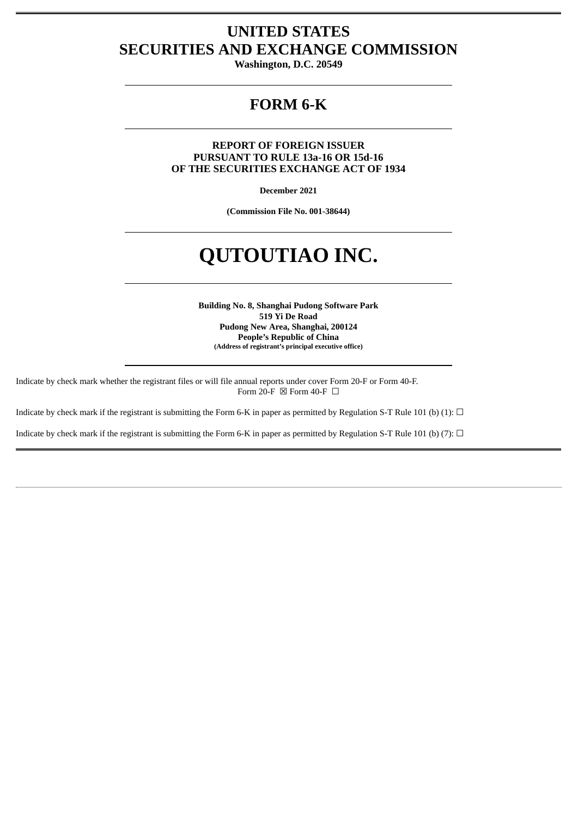# **UNITED STATES SECURITIES AND EXCHANGE COMMISSION**

**Washington, D.C. 20549**

## **FORM 6-K**

**REPORT OF FOREIGN ISSUER PURSUANT TO RULE 13a-16 OR 15d-16 OF THE SECURITIES EXCHANGE ACT OF 1934**

**December 2021**

**(Commission File No. 001-38644)**

# **QUTOUTIAO INC.**

**Building No. 8, Shanghai Pudong Software Park 519 Yi De Road Pudong New Area, Shanghai, 200124 People's Republic of China (Address of registrant's principal executive office)**

Indicate by check mark whether the registrant files or will file annual reports under cover Form 20-F or Form 40-F. Form 20-F  $\boxtimes$  Form 40-F  $\Box$ 

Indicate by check mark if the registrant is submitting the Form 6-K in paper as permitted by Regulation S-T Rule 101 (b) (1):  $\Box$ 

Indicate by check mark if the registrant is submitting the Form 6-K in paper as permitted by Regulation S-T Rule 101 (b) (7):  $\Box$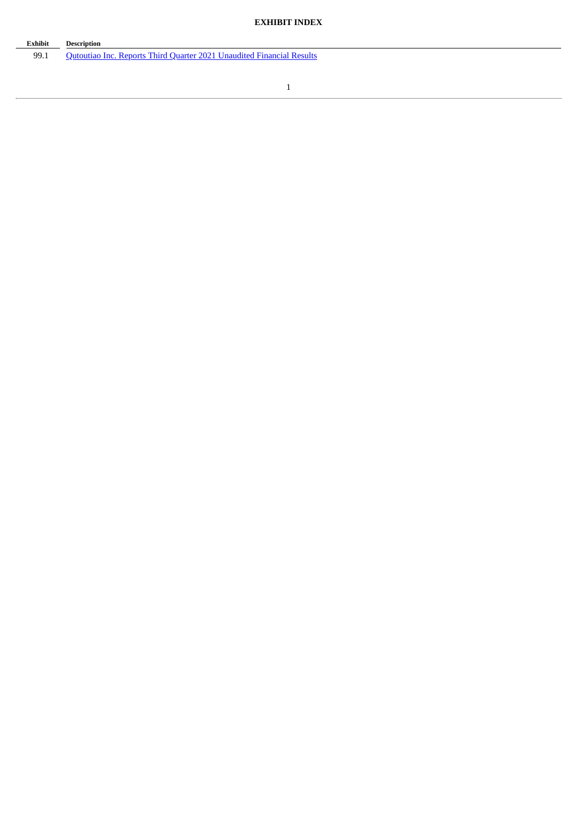#### **EXHIBIT INDEX**

# **Exhibit Description**

99.1 Qutoutiao Inc. Reports Third Quarter 2021 [Unaudited](#page-3-0) Financial Results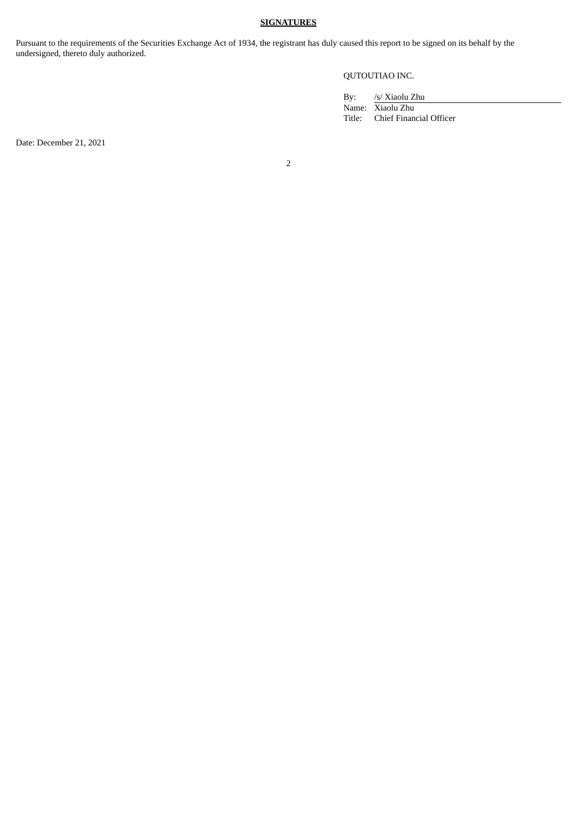#### **SIGNATURES**

Pursuant to the requirements of the Securities Exchange Act of 1934, the registrant has duly caused this report to be signed on its behalf by the undersigned, thereto duly authorized.

#### QUTOUTIAO INC.

| By: | /s/ Xiaolu Zhu                 |
|-----|--------------------------------|
|     | Name: Xiaolu Zhu               |
|     | Title: Chief Financial Officer |

Date: December 21, 2021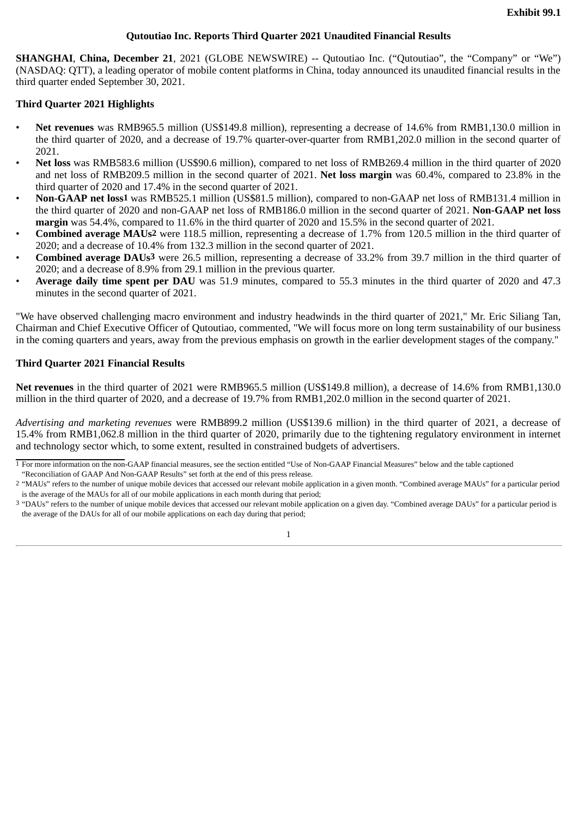#### **Qutoutiao Inc. Reports Third Quarter 2021 Unaudited Financial Results**

<span id="page-3-0"></span>**SHANGHAI**, **China, December 21**, 2021 (GLOBE NEWSWIRE) -- Qutoutiao Inc. ("Qutoutiao", the "Company" or "We") (NASDAQ: QTT), a leading operator of mobile content platforms in China, today announced its unaudited financial results in the third quarter ended September 30, 2021.

#### **Third Quarter 2021 Highlights**

- **Net revenues** was RMB965.5 million (US\$149.8 million), representing a decrease of 14.6% from RMB1,130.0 million in the third quarter of 2020, and a decrease of 19.7% quarter-over-quarter from RMB1,202.0 million in the second quarter of 2021.
- **Net loss** was RMB583.6 million (US\$90.6 million), compared to net loss of RMB269.4 million in the third quarter of 2020 and net loss of RMB209.5 million in the second quarter of 2021. **Net loss margin** was 60.4%, compared to 23.8% in the third quarter of 2020 and 17.4% in the second quarter of 2021.
- **Non-GAAP net loss1** was RMB525.1 million (US\$81.5 million), compared to non-GAAP net loss of RMB131.4 million in the third quarter of 2020 and non-GAAP net loss of RMB186.0 million in the second quarter of 2021. **Non-GAAP net loss margin** was 54.4%, compared to 11.6% in the third quarter of 2020 and 15.5% in the second quarter of 2021.
- **Combined average MAUs2** were 118.5 million, representing a decrease of 1.7% from 120.5 million in the third quarter of 2020; and a decrease of 10.4% from 132.3 million in the second quarter of 2021.
- **Combined average DAUs3** were 26.5 million, representing a decrease of 33.2% from 39.7 million in the third quarter of 2020; and a decrease of 8.9% from 29.1 million in the previous quarter.
- **Average daily time spent per DAU** was 51.9 minutes, compared to 55.3 minutes in the third quarter of 2020 and 47.3 minutes in the second quarter of 2021.

"We have observed challenging macro environment and industry headwinds in the third quarter of 2021," Mr. Eric Siliang Tan, Chairman and Chief Executive Officer of Qutoutiao, commented, "We will focus more on long term sustainability of our business in the coming quarters and years, away from the previous emphasis on growth in the earlier development stages of the company."

#### **Third Quarter 2021 Financial Results**

**Net revenues** in the third quarter of 2021 were RMB965.5 million (US\$149.8 million), a decrease of 14.6% from RMB1,130.0 million in the third quarter of 2020, and a decrease of 19.7% from RMB1,202.0 million in the second quarter of 2021.

*Advertising and marketing revenues* were RMB899.2 million (US\$139.6 million) in the third quarter of 2021, a decrease of 15.4% from RMB1,062.8 million in the third quarter of 2020, primarily due to the tightening regulatory environment in internet and technology sector which, to some extent, resulted in constrained budgets of advertisers.

"Reconciliation of GAAP And Non-GAAP Results" set forth at the end of this press release.

<sup>&</sup>lt;sup>1</sup> For more information on the non-GAAP financial measures, see the section entitled "Use of Non-GAAP Financial Measures" below and the table captioned

<sup>2</sup> "MAUs" refers to the number of unique mobile devices that accessed our relevant mobile application in a given month. "Combined average MAUs" for a particular period is the average of the MAUs for all of our mobile applications in each month during that period;

<sup>3</sup> "DAUs" refers to the number of unique mobile devices that accessed our relevant mobile application on a given day. "Combined average DAUs" for a particular period is the average of the DAUs for all of our mobile applications on each day during that period;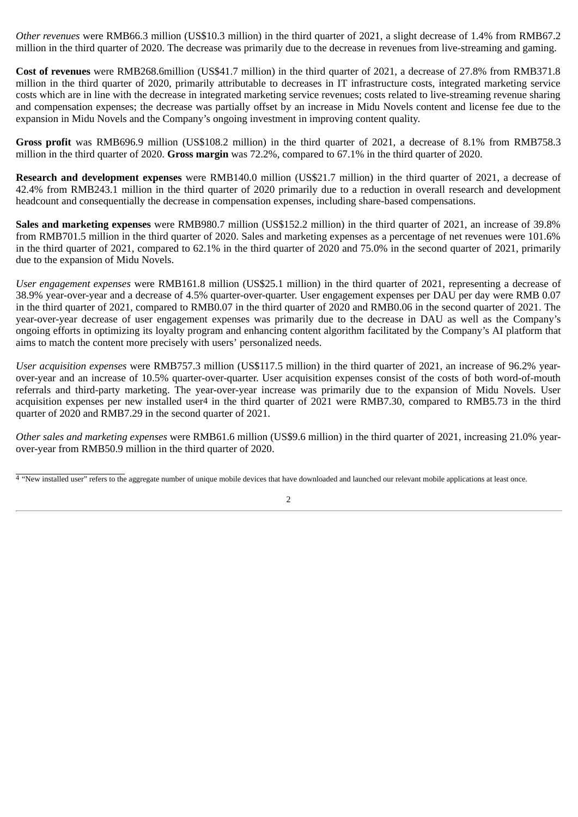*Other revenues* were RMB66.3 million (US\$10.3 million) in the third quarter of 2021, a slight decrease of 1.4% from RMB67.2 million in the third quarter of 2020. The decrease was primarily due to the decrease in revenues from live-streaming and gaming.

**Cost of revenues** were RMB268.6million (US\$41.7 million) in the third quarter of 2021, a decrease of 27.8% from RMB371.8 million in the third quarter of 2020, primarily attributable to decreases in IT infrastructure costs, integrated marketing service costs which are in line with the decrease in integrated marketing service revenues; costs related to live-streaming revenue sharing and compensation expenses; the decrease was partially offset by an increase in Midu Novels content and license fee due to the expansion in Midu Novels and the Company's ongoing investment in improving content quality.

**Gross profit** was RMB696.9 million (US\$108.2 million) in the third quarter of 2021, a decrease of 8.1% from RMB758.3 million in the third quarter of 2020. **Gross margin** was 72.2%, compared to 67.1% in the third quarter of 2020.

**Research and development expenses** were RMB140.0 million (US\$21.7 million) in the third quarter of 2021, a decrease of 42.4% from RMB243.1 million in the third quarter of 2020 primarily due to a reduction in overall research and development headcount and consequentially the decrease in compensation expenses, including share-based compensations.

**Sales and marketing expenses** were RMB980.7 million (US\$152.2 million) in the third quarter of 2021, an increase of 39.8% from RMB701.5 million in the third quarter of 2020. Sales and marketing expenses as a percentage of net revenues were 101.6% in the third quarter of 2021, compared to 62.1% in the third quarter of 2020 and 75.0% in the second quarter of 2021, primarily due to the expansion of Midu Novels.

*User engagement expenses* were RMB161.8 million (US\$25.1 million) in the third quarter of 2021, representing a decrease of 38.9% year-over-year and a decrease of 4.5% quarter-over-quarter. User engagement expenses per DAU per day were RMB 0.07 in the third quarter of 2021, compared to RMB0.07 in the third quarter of 2020 and RMB0.06 in the second quarter of 2021. The year-over-year decrease of user engagement expenses was primarily due to the decrease in DAU as well as the Company's ongoing efforts in optimizing its loyalty program and enhancing content algorithm facilitated by the Company's AI platform that aims to match the content more precisely with users' personalized needs.

*User acquisition expenses* were RMB757.3 million (US\$117.5 million) in the third quarter of 2021, an increase of 96.2% yearover-year and an increase of 10.5% quarter-over-quarter. User acquisition expenses consist of the costs of both word-of-mouth referrals and third-party marketing. The year-over-year increase was primarily due to the expansion of Midu Novels. User acquisition expenses per new installed user4 in the third quarter of 2021 were RMB7.30, compared to RMB5.73 in the third quarter of 2020 and RMB7.29 in the second quarter of 2021.

*Other sales and marketing expenses* were RMB61.6 million (US\$9.6 million) in the third quarter of 2021, increasing 21.0% yearover-year from RMB50.9 million in the third quarter of 2020.

<sup>&</sup>lt;sup>4</sup> "New installed user" refers to the aggregate number of unique mobile devices that have downloaded and launched our relevant mobile applications at least once.

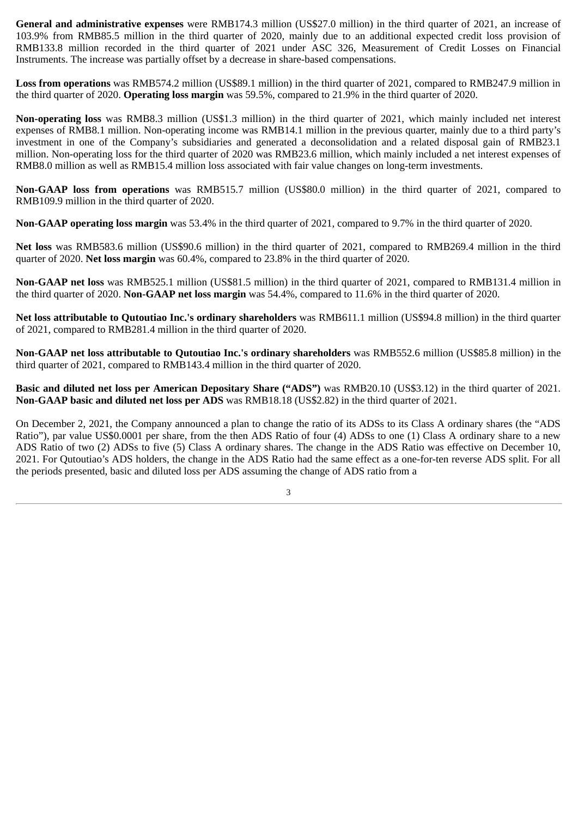**General and administrative expenses** were RMB174.3 million (US\$27.0 million) in the third quarter of 2021, an increase of 103.9% from RMB85.5 million in the third quarter of 2020, mainly due to an additional expected credit loss provision of RMB133.8 million recorded in the third quarter of 2021 under ASC 326, Measurement of Credit Losses on Financial Instruments. The increase was partially offset by a decrease in share-based compensations.

**Loss from operations** was RMB574.2 million (US\$89.1 million) in the third quarter of 2021, compared to RMB247.9 million in the third quarter of 2020. **Operating loss margin** was 59.5%, compared to 21.9% in the third quarter of 2020.

**Non-operating loss** was RMB8.3 million (US\$1.3 million) in the third quarter of 2021, which mainly included net interest expenses of RMB8.1 million. Non-operating income was RMB14.1 million in the previous quarter, mainly due to a third party's investment in one of the Company's subsidiaries and generated a deconsolidation and a related disposal gain of RMB23.1 million. Non-operating loss for the third quarter of 2020 was RMB23.6 million, which mainly included a net interest expenses of RMB8.0 million as well as RMB15.4 million loss associated with fair value changes on long-term investments.

**Non-GAAP loss from operations** was RMB515.7 million (US\$80.0 million) in the third quarter of 2021, compared to RMB109.9 million in the third quarter of 2020.

**Non-GAAP operating loss margin** was 53.4% in the third quarter of 2021, compared to 9.7% in the third quarter of 2020.

**Net loss** was RMB583.6 million (US\$90.6 million) in the third quarter of 2021, compared to RMB269.4 million in the third quarter of 2020. **Net loss margin** was 60.4%, compared to 23.8% in the third quarter of 2020.

**Non-GAAP net loss** was RMB525.1 million (US\$81.5 million) in the third quarter of 2021, compared to RMB131.4 million in the third quarter of 2020. **Non-GAAP net loss margin** was 54.4%, compared to 11.6% in the third quarter of 2020.

**Net loss attributable to Qutoutiao Inc.'s ordinary shareholders** was RMB611.1 million (US\$94.8 million) in the third quarter of 2021, compared to RMB281.4 million in the third quarter of 2020.

**Non-GAAP net loss attributable to Qutoutiao Inc.'s ordinary shareholders** was RMB552.6 million (US\$85.8 million) in the third quarter of 2021, compared to RMB143.4 million in the third quarter of 2020.

**Basic and diluted net loss per American Depositary Share ("ADS")** was RMB20.10 (US\$3.12) in the third quarter of 2021. **Non-GAAP basic and diluted net loss per ADS** was RMB18.18 (US\$2.82) in the third quarter of 2021.

On December 2, 2021, the Company announced a plan to change the ratio of its ADSs to its Class A ordinary shares (the "ADS Ratio"), par value US\$0.0001 per share, from the then ADS Ratio of four (4) ADSs to one (1) Class A ordinary share to a new ADS Ratio of two (2) ADSs to five (5) Class A ordinary shares. The change in the ADS Ratio was effective on December 10, 2021. For Qutoutiao's ADS holders, the change in the ADS Ratio had the same effect as a one-for-ten reverse ADS split. For all the periods presented, basic and diluted loss per ADS assuming the change of ADS ratio from a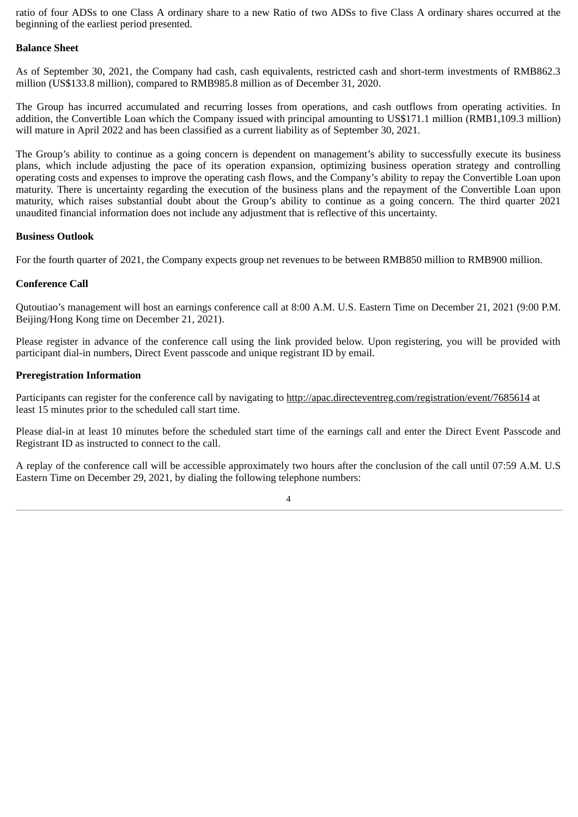ratio of four ADSs to one Class A ordinary share to a new Ratio of two ADSs to five Class A ordinary shares occurred at the beginning of the earliest period presented.

#### **Balance Sheet**

As of September 30, 2021, the Company had cash, cash equivalents, restricted cash and short-term investments of RMB862.3 million (US\$133.8 million), compared to RMB985.8 million as of December 31, 2020.

The Group has incurred accumulated and recurring losses from operations, and cash outflows from operating activities. In addition, the Convertible Loan which the Company issued with principal amounting to US\$171.1 million (RMB1,109.3 million) will mature in April 2022 and has been classified as a current liability as of September 30, 2021.

The Group's ability to continue as a going concern is dependent on management's ability to successfully execute its business plans, which include adjusting the pace of its operation expansion, optimizing business operation strategy and controlling operating costs and expenses to improve the operating cash flows, and the Company's ability to repay the Convertible Loan upon maturity. There is uncertainty regarding the execution of the business plans and the repayment of the Convertible Loan upon maturity, which raises substantial doubt about the Group's ability to continue as a going concern. The third quarter 2021 unaudited financial information does not include any adjustment that is reflective of this uncertainty.

#### **Business Outlook**

For the fourth quarter of 2021, the Company expects group net revenues to be between RMB850 million to RMB900 million.

#### **Conference Call**

Qutoutiao's management will host an earnings conference call at 8:00 A.M. U.S. Eastern Time on December 21, 2021 (9:00 P.M. Beijing/Hong Kong time on December 21, 2021).

Please register in advance of the conference call using the link provided below. Upon registering, you will be provided with participant dial-in numbers, Direct Event passcode and unique registrant ID by email.

#### **Preregistration Information**

Participants can register for the conference call by navigating to http://apac.directeventreg.com/registration/event/7685614 at least 15 minutes prior to the scheduled call start time.

Please dial-in at least 10 minutes before the scheduled start time of the earnings call and enter the Direct Event Passcode and Registrant ID as instructed to connect to the call.

A replay of the conference call will be accessible approximately two hours after the conclusion of the call until 07:59 A.M. U.S Eastern Time on December 29, 2021, by dialing the following telephone numbers: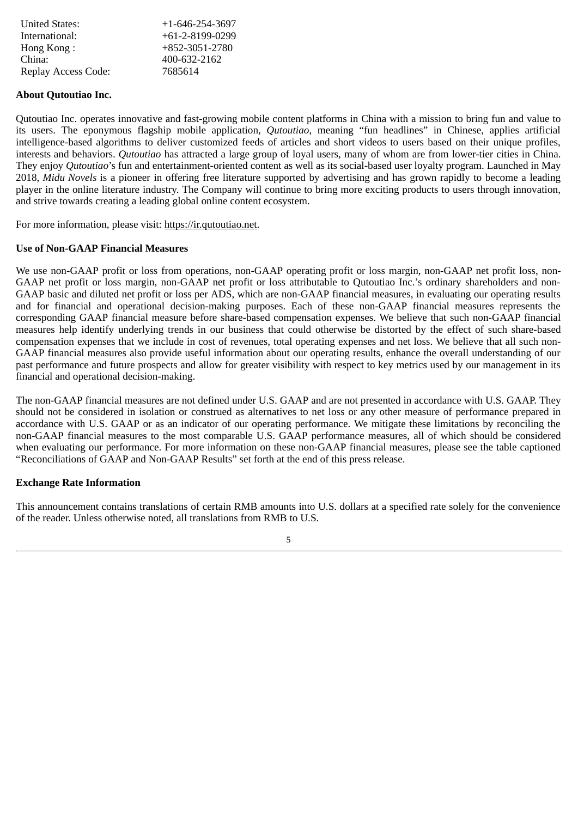| <b>United States:</b> | $+1 - 646 - 254 - 3697$ |
|-----------------------|-------------------------|
| International:        | $+61-2-8199-0299$       |
| Hong Kong:            | +852-3051-2780          |
| China:                | 400-632-2162            |
| Replay Access Code:   | 7685614                 |

#### **About Qutoutiao Inc.**

Qutoutiao Inc. operates innovative and fast-growing mobile content platforms in China with a mission to bring fun and value to its users. The eponymous flagship mobile application, *Qutoutiao*, meaning "fun headlines" in Chinese, applies artificial intelligence-based algorithms to deliver customized feeds of articles and short videos to users based on their unique profiles, interests and behaviors. *Qutoutiao* has attracted a large group of loyal users, many of whom are from lower-tier cities in China. They enjoy *Qutoutiao*'s fun and entertainment-oriented content as well as its social-based user loyalty program. Launched in May 2018, *Midu Novels* is a pioneer in offering free literature supported by advertising and has grown rapidly to become a leading player in the online literature industry. The Company will continue to bring more exciting products to users through innovation, and strive towards creating a leading global online content ecosystem.

For more information, please visit: https://ir.qutoutiao.net.

#### **Use of Non-GAAP Financial Measures**

We use non-GAAP profit or loss from operations, non-GAAP operating profit or loss margin, non-GAAP net profit loss, non-GAAP net profit or loss margin, non-GAAP net profit or loss attributable to Qutoutiao Inc.'s ordinary shareholders and non-GAAP basic and diluted net profit or loss per ADS, which are non-GAAP financial measures, in evaluating our operating results and for financial and operational decision-making purposes. Each of these non-GAAP financial measures represents the corresponding GAAP financial measure before share-based compensation expenses. We believe that such non-GAAP financial measures help identify underlying trends in our business that could otherwise be distorted by the effect of such share-based compensation expenses that we include in cost of revenues, total operating expenses and net loss. We believe that all such non-GAAP financial measures also provide useful information about our operating results, enhance the overall understanding of our past performance and future prospects and allow for greater visibility with respect to key metrics used by our management in its financial and operational decision-making.

The non-GAAP financial measures are not defined under U.S. GAAP and are not presented in accordance with U.S. GAAP. They should not be considered in isolation or construed as alternatives to net loss or any other measure of performance prepared in accordance with U.S. GAAP or as an indicator of our operating performance. We mitigate these limitations by reconciling the non-GAAP financial measures to the most comparable U.S. GAAP performance measures, all of which should be considered when evaluating our performance. For more information on these non-GAAP financial measures, please see the table captioned "Reconciliations of GAAP and Non-GAAP Results" set forth at the end of this press release.

#### **Exchange Rate Information**

This announcement contains translations of certain RMB amounts into U.S. dollars at a specified rate solely for the convenience of the reader. Unless otherwise noted, all translations from RMB to U.S.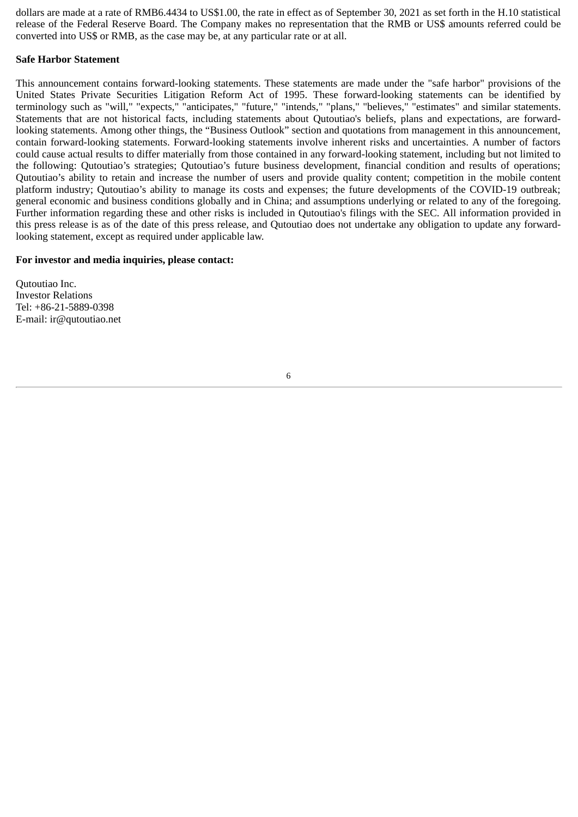dollars are made at a rate of RMB6.4434 to US\$1.00, the rate in effect as of September 30, 2021 as set forth in the H.10 statistical release of the Federal Reserve Board. The Company makes no representation that the RMB or US\$ amounts referred could be converted into US\$ or RMB, as the case may be, at any particular rate or at all.

#### **Safe Harbor Statement**

This announcement contains forward-looking statements. These statements are made under the "safe harbor" provisions of the United States Private Securities Litigation Reform Act of 1995. These forward-looking statements can be identified by terminology such as "will," "expects," "anticipates," "future," "intends," "plans," "believes," "estimates" and similar statements. Statements that are not historical facts, including statements about Qutoutiao's beliefs, plans and expectations, are forwardlooking statements. Among other things, the "Business Outlook" section and quotations from management in this announcement, contain forward-looking statements. Forward-looking statements involve inherent risks and uncertainties. A number of factors could cause actual results to differ materially from those contained in any forward-looking statement, including but not limited to the following: Qutoutiao's strategies; Qutoutiao's future business development, financial condition and results of operations; Qutoutiao's ability to retain and increase the number of users and provide quality content; competition in the mobile content platform industry; Qutoutiao's ability to manage its costs and expenses; the future developments of the COVID-19 outbreak; general economic and business conditions globally and in China; and assumptions underlying or related to any of the foregoing. Further information regarding these and other risks is included in Qutoutiao's filings with the SEC. All information provided in this press release is as of the date of this press release, and Qutoutiao does not undertake any obligation to update any forwardlooking statement, except as required under applicable law.

#### **For investor and media inquiries, please contact:**

Qutoutiao Inc. Investor Relations Tel: +86-21-5889-0398 E-mail: ir@qutoutiao.net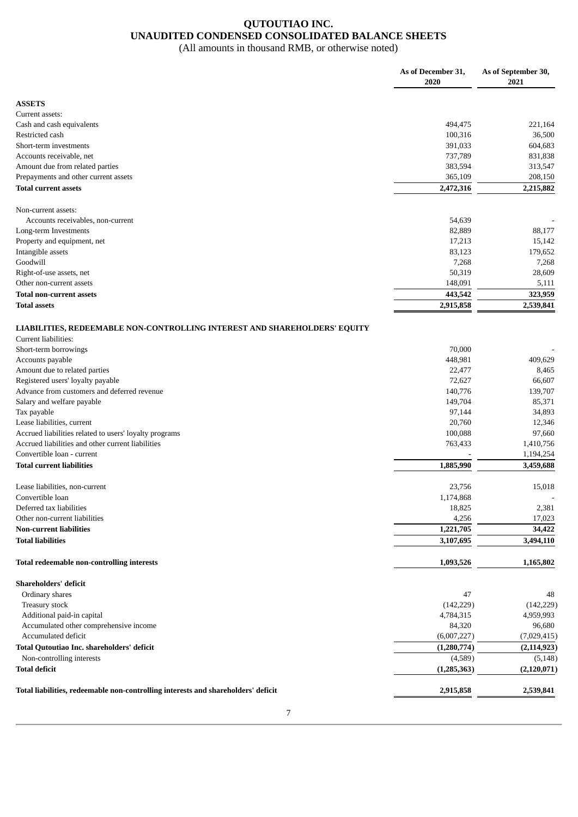## **QUTOUTIAO INC. UNAUDITED CONDENSED CONSOLIDATED BALANCE SHEETS**

(All amounts in thousand RMB, or otherwise noted)

|                                                                                   | As of December 31,<br>2020 | As of September 30,<br>2021 |
|-----------------------------------------------------------------------------------|----------------------------|-----------------------------|
| <b>ASSETS</b>                                                                     |                            |                             |
| Current assets:                                                                   |                            |                             |
| Cash and cash equivalents                                                         | 494,475                    | 221,164                     |
| Restricted cash                                                                   | 100,316                    | 36,500                      |
| Short-term investments                                                            | 391,033                    | 604,683                     |
| Accounts receivable, net                                                          | 737,789                    | 831,838                     |
| Amount due from related parties                                                   | 383,594                    | 313,547                     |
| Prepayments and other current assets                                              | 365,109                    | 208,150                     |
| <b>Total current assets</b>                                                       | 2,472,316                  | 2,215,882                   |
| Non-current assets:                                                               |                            |                             |
| Accounts receivables, non-current                                                 | 54,639                     |                             |
| Long-term Investments                                                             | 82,889                     | 88,177                      |
| Property and equipment, net                                                       | 17,213                     | 15,142                      |
| Intangible assets                                                                 | 83,123                     | 179,652                     |
| Goodwill                                                                          | 7,268                      | 7,268                       |
| Right-of-use assets, net                                                          | 50,319                     | 28,609                      |
| Other non-current assets                                                          | 148,091                    | 5,111                       |
| <b>Total non-current assets</b>                                                   | 443,542                    | 323,959                     |
| <b>Total assets</b>                                                               | 2,915,858                  | 2,539,841                   |
| LIABILITIES, REDEEMABLE NON-CONTROLLING INTEREST AND SHAREHOLDERS' EQUITY         |                            |                             |
| Current liabilities:                                                              |                            |                             |
| Short-term borrowings                                                             | 70,000                     |                             |
| Accounts payable                                                                  | 448,981                    | 409,629                     |
| Amount due to related parties                                                     | 22,477                     | 8,465                       |
| Registered users' loyalty payable                                                 | 72,627                     | 66,607                      |
| Advance from customers and deferred revenue                                       | 140,776                    | 139,707                     |
|                                                                                   |                            |                             |
| Salary and welfare payable                                                        | 149,704                    | 85,371                      |
| Tax payable                                                                       | 97,144                     | 34,893                      |
| Lease liabilities, current                                                        | 20,760                     | 12,346                      |
| Accrued liabilities related to users' loyalty programs                            | 100,088                    | 97,660                      |
| Accrued liabilities and other current liabilities                                 | 763,433                    | 1,410,756                   |
| Convertible loan - current                                                        |                            | 1,194,254                   |
| <b>Total current liabilities</b>                                                  | 1,885,990                  | 3,459,688                   |
| Lease liabilities, non-current                                                    | 23,756                     | 15,018                      |
| Convertible loan                                                                  | 1,174,868                  |                             |
| Deferred tax liabilities                                                          | 18,825                     | 2,381                       |
| Other non-current liabilities                                                     | 4,256                      | 17,023                      |
| <b>Non-current liabilities</b>                                                    | 1,221,705                  | 34,422                      |
| <b>Total liabilities</b>                                                          | 3,107,695                  | 3,494,110                   |
| Total redeemable non-controlling interests                                        | 1,093,526                  | 1,165,802                   |
| Shareholders' deficit                                                             |                            |                             |
| Ordinary shares                                                                   | 47                         | 48                          |
| Treasury stock                                                                    | (142, 229)                 | (142, 229)                  |
| Additional paid-in capital                                                        | 4,784,315                  | 4,959,993                   |
| Accumulated other comprehensive income                                            | 84,320                     | 96,680                      |
| Accumulated deficit                                                               | (6,007,227)                | (7,029,415)                 |
| Total Qutoutiao Inc. shareholders' deficit                                        | (1,280,774)                | (2, 114, 923)               |
| Non-controlling interests                                                         | (4,589)                    | (5, 148)                    |
| <b>Total deficit</b>                                                              | (1,285,363)                | (2,120,071)                 |
| Total liabilities, redeemable non-controlling interests and shareholders' deficit | 2,915,858                  | 2,539,841                   |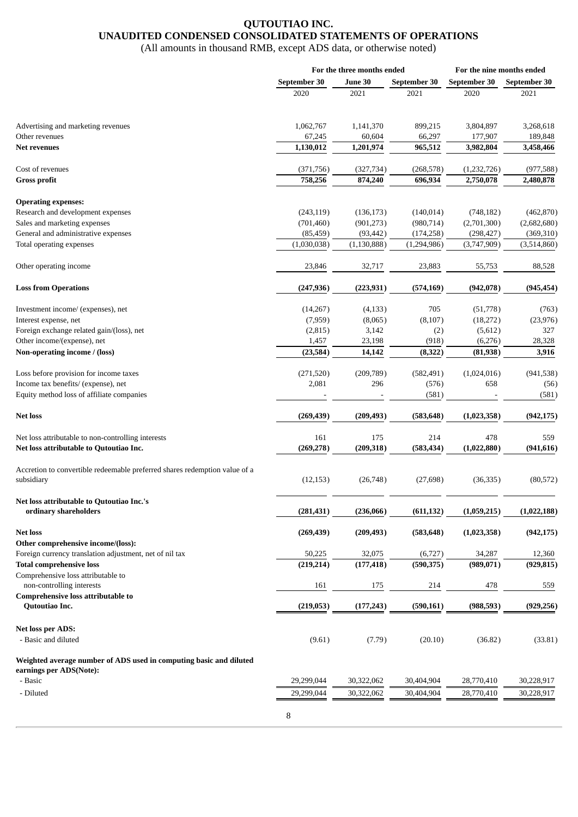### **QUTOUTIAO INC. UNAUDITED CONDENSED CONSOLIDATED STATEMENTS OF OPERATIONS**

(All amounts in thousand RMB, except ADS data, or otherwise noted)

|                                                                                               | For the three months ended |               | For the nine months ended |              |              |
|-----------------------------------------------------------------------------------------------|----------------------------|---------------|---------------------------|--------------|--------------|
|                                                                                               | September 30               | June 30       | September 30              | September 30 | September 30 |
|                                                                                               | 2020                       | 2021          | 2021                      | 2020         | 2021         |
| Advertising and marketing revenues                                                            | 1,062,767                  | 1,141,370     | 899,215                   | 3,804,897    | 3,268,618    |
| Other revenues                                                                                | 67,245                     | 60,604        | 66,297                    | 177,907      | 189,848      |
| <b>Net revenues</b>                                                                           | 1,130,012                  | 1,201,974     | 965,512                   | 3,982,804    | 3,458,466    |
| Cost of revenues                                                                              | (371,756)                  | (327, 734)    | (268, 578)                | (1,232,726)  | (977, 588)   |
| <b>Gross profit</b>                                                                           | 758,256                    | 874,240       | 696,934                   | 2,750,078    | 2,480,878    |
| <b>Operating expenses:</b>                                                                    |                            |               |                           |              |              |
| Research and development expenses                                                             | (243, 119)                 | (136, 173)    | (140, 014)                | (748, 182)   | (462, 870)   |
| Sales and marketing expenses                                                                  | (701, 460)                 | (901, 273)    | (980, 714)                | (2,701,300)  | (2,682,680)  |
| General and administrative expenses                                                           | (85, 459)                  | (93, 442)     | (174, 258)                | (298, 427)   | (369, 310)   |
| Total operating expenses                                                                      | (1,030,038)                | (1, 130, 888) | (1,294,986)               | (3,747,909)  | (3,514,860)  |
|                                                                                               |                            |               |                           |              |              |
| Other operating income                                                                        | 23,846                     | 32,717        | 23,883                    | 55,753       | 88,528       |
| <b>Loss from Operations</b>                                                                   | (247, 936)                 | (223, 931)    | (574, 169)                | (942, 078)   | (945, 454)   |
| Investment income/ (expenses), net                                                            | (14,267)                   | (4, 133)      | 705                       | (51,778)     | (763)        |
| Interest expense, net                                                                         | (7,959)                    | (8,065)       | (8, 107)                  | (18,272)     | (23, 976)    |
| Foreign exchange related gain/(loss), net                                                     | (2,815)                    | 3,142         | (2)                       | (5,612)      | 327          |
| Other income/(expense), net                                                                   | 1,457                      | 23,198        | (918)                     | (6,276)      | 28,328       |
| Non-operating income / (loss)                                                                 | (23, 584)                  | 14,142        | (8, 322)                  | (81, 938)    | 3,916        |
| Loss before provision for income taxes                                                        | (271, 520)                 | (209, 789)    | (582, 491)                | (1,024,016)  | (941, 538)   |
| Income tax benefits/ (expense), net                                                           | 2,081                      | 296           | (576)                     | 658          | (56)         |
| Equity method loss of affiliate companies                                                     |                            |               | (581)                     |              | (581)        |
| <b>Net loss</b>                                                                               | (269, 439)                 | (209, 493)    | (583, 648)                | (1,023,358)  | (942, 175)   |
| Net loss attributable to non-controlling interests                                            | 161                        | 175           | 214                       | 478          | 559          |
| Net loss attributable to Qutoutiao Inc.                                                       | (269, 278)                 | (209, 318)    | (583, 434)                | (1,022,880)  | (941, 616)   |
| Accretion to convertible redeemable preferred shares redemption value of a                    |                            |               |                           |              |              |
| subsidiary                                                                                    | (12, 153)                  | (26,748)      | (27, 698)                 | (36, 335)    | (80, 572)    |
| Net loss attributable to Qutoutiao Inc.'s                                                     |                            |               |                           |              |              |
| ordinary shareholders                                                                         | (281, 431)                 | (236,066)     | (611, 132)                | (1,059,215)  | (1,022,188)  |
| <b>Net loss</b>                                                                               | (269, 439)                 | (209, 493)    | (583, 648)                | (1,023,358)  | (942, 175)   |
| Other comprehensive income/(loss):<br>Foreign currency translation adjustment, net of nil tax | 50,225                     | 32,075        | (6, 727)                  | 34,287       | 12,360       |
| <b>Total comprehensive loss</b>                                                               | (219, 214)                 | (177, 418)    | (590, 375)                | (989, 071)   | (929, 815)   |
| Comprehensive loss attributable to                                                            |                            |               |                           |              |              |
| non-controlling interests                                                                     | 161                        | 175           | 214                       | 478          | 559          |
| Comprehensive loss attributable to<br>Qutoutiao Inc.                                          | (219, 053)                 | (177, 243)    | (590, 161)                | (988, 593)   | (929, 256)   |
|                                                                                               |                            |               |                           |              |              |
| <b>Net loss per ADS:</b>                                                                      |                            |               |                           |              |              |
| - Basic and diluted                                                                           | (9.61)                     | (7.79)        | (20.10)                   | (36.82)      | (33.81)      |
| Weighted average number of ADS used in computing basic and diluted                            |                            |               |                           |              |              |
| earnings per ADS(Note):                                                                       |                            |               |                           |              |              |
| - Basic                                                                                       | 29,299,044                 | 30,322,062    | 30,404,904                | 28,770,410   | 30,228,917   |
| - Diluted                                                                                     | 29,299,044                 | 30,322,062    | 30,404,904                | 28,770,410   | 30,228,917   |
|                                                                                               | 8                          |               |                           |              |              |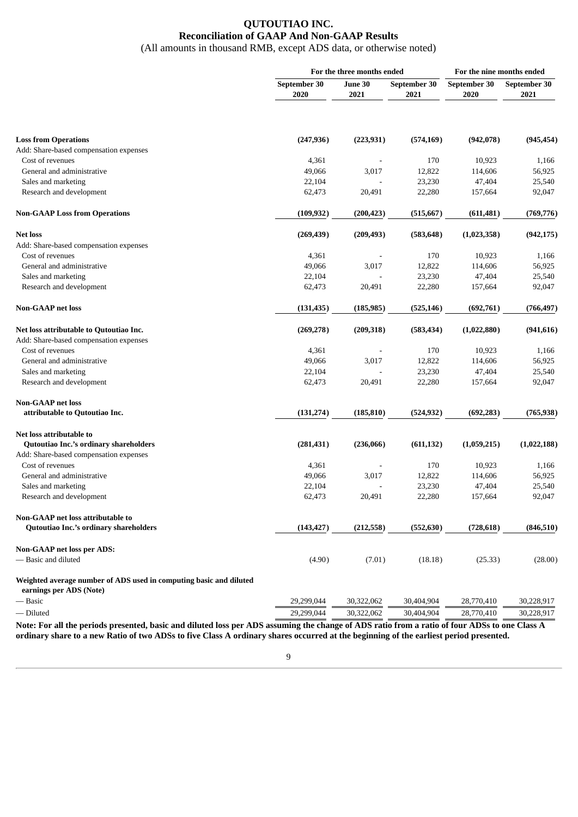## **QUTOUTIAO INC. Reconciliation of GAAP And Non-GAAP Results**

(All amounts in thousand RMB, except ADS data, or otherwise noted)

|                                                                                               | For the three months ended |                         |            | For the nine months ended |              |  |
|-----------------------------------------------------------------------------------------------|----------------------------|-------------------------|------------|---------------------------|--------------|--|
|                                                                                               | September 30               | June 30<br>September 30 |            | September 30              | September 30 |  |
|                                                                                               | 2020                       | 2021                    | 2021       | 2020                      | 2021         |  |
|                                                                                               |                            |                         |            |                           |              |  |
| <b>Loss from Operations</b>                                                                   | (247, 936)                 | (223, 931)              | (574, 169) | (942, 078)                | (945, 454)   |  |
| Add: Share-based compensation expenses                                                        |                            |                         |            |                           |              |  |
| Cost of revenues                                                                              | 4,361                      |                         | 170        | 10,923                    | 1,166        |  |
| General and administrative                                                                    | 49,066                     | 3,017                   | 12,822     | 114,606                   | 56,925       |  |
| Sales and marketing                                                                           | 22,104                     |                         | 23,230     | 47,404                    | 25,540       |  |
| Research and development                                                                      | 62,473                     | 20,491                  | 22,280     | 157,664                   | 92,047       |  |
| <b>Non-GAAP Loss from Operations</b>                                                          | (109, 932)                 | (200, 423)              | (515, 667) | (611, 481)                | (769, 776)   |  |
| <b>Net loss</b>                                                                               | (269, 439)                 | (209, 493)              | (583, 648) | (1,023,358)               | (942, 175)   |  |
| Add: Share-based compensation expenses                                                        |                            |                         |            |                           |              |  |
| Cost of revenues                                                                              | 4,361                      |                         | 170        | 10,923                    | 1,166        |  |
| General and administrative                                                                    | 49,066                     | 3,017                   | 12,822     | 114,606                   | 56,925       |  |
| Sales and marketing                                                                           | 22,104                     |                         | 23,230     | 47,404                    | 25,540       |  |
| Research and development                                                                      | 62,473                     | 20,491                  | 22,280     | 157,664                   | 92,047       |  |
| <b>Non-GAAP</b> net loss                                                                      | (131, 435)                 | (185, 985)              | (525, 146) | (692, 761)                | (766,497)    |  |
| Net loss attributable to Qutoutiao Inc.                                                       | (269, 278)                 | (209, 318)              | (583, 434) | (1,022,880)               | (941, 616)   |  |
| Add: Share-based compensation expenses                                                        |                            |                         |            |                           |              |  |
| Cost of revenues                                                                              | 4,361                      |                         | 170        | 10,923                    | 1,166        |  |
| General and administrative                                                                    | 49,066                     | 3,017                   | 12,822     | 114,606                   | 56,925       |  |
| Sales and marketing                                                                           | 22,104                     |                         | 23,230     | 47,404                    | 25,540       |  |
| Research and development                                                                      | 62,473                     | 20,491                  | 22,280     | 157,664                   | 92,047       |  |
| <b>Non-GAAP</b> net loss                                                                      |                            |                         |            |                           |              |  |
| attributable to Qutoutiao Inc.                                                                | (131, 274)                 | (185, 810)              | (524, 932) | (692, 283)                | (765, 938)   |  |
| Net loss attributable to                                                                      |                            |                         |            |                           |              |  |
| Qutoutiao Inc.'s ordinary shareholders                                                        | (281, 431)                 | (236,066)               | (611, 132) | (1,059,215)               | (1,022,188)  |  |
| Add: Share-based compensation expenses                                                        |                            |                         |            |                           |              |  |
| Cost of revenues                                                                              | 4,361                      |                         | 170        | 10,923                    | 1,166        |  |
| General and administrative                                                                    | 49,066                     | 3,017                   | 12,822     | 114,606                   | 56,925       |  |
| Sales and marketing                                                                           | 22,104                     |                         | 23,230     | 47,404                    | 25,540       |  |
| Research and development                                                                      | 62,473                     | 20,491                  | 22,280     | 157,664                   | 92,047       |  |
| Non-GAAP net loss attributable to                                                             |                            |                         |            |                           |              |  |
| Qutoutiao Inc.'s ordinary shareholders                                                        | (143, 427)                 | (212, 558)              | (552, 630) | (728, 618)                | (846, 510)   |  |
| <b>Non-GAAP net loss per ADS:</b>                                                             |                            |                         |            |                           |              |  |
| — Basic and diluted                                                                           | (4.90)                     | (7.01)                  | (18.18)    | (25.33)                   | (28.00)      |  |
| Weighted average number of ADS used in computing basic and diluted<br>earnings per ADS (Note) |                            |                         |            |                           |              |  |
| — Basic                                                                                       | 29,299,044                 | 30,322,062              | 30,404,904 | 28,770,410                | 30,228,917   |  |
| - Diluted                                                                                     | 29,299,044                 | 30,322,062              | 30,404,904 | 28,770,410                | 30,228,917   |  |

Note: For all the periods presented, basic and diluted loss per ADS assuming the change of ADS ratio from a ratio of four ADSs to one Class A ordinary share to a new Ratio of two ADSs to five Class A ordinary shares occurred at the beginning of the earliest period presented.